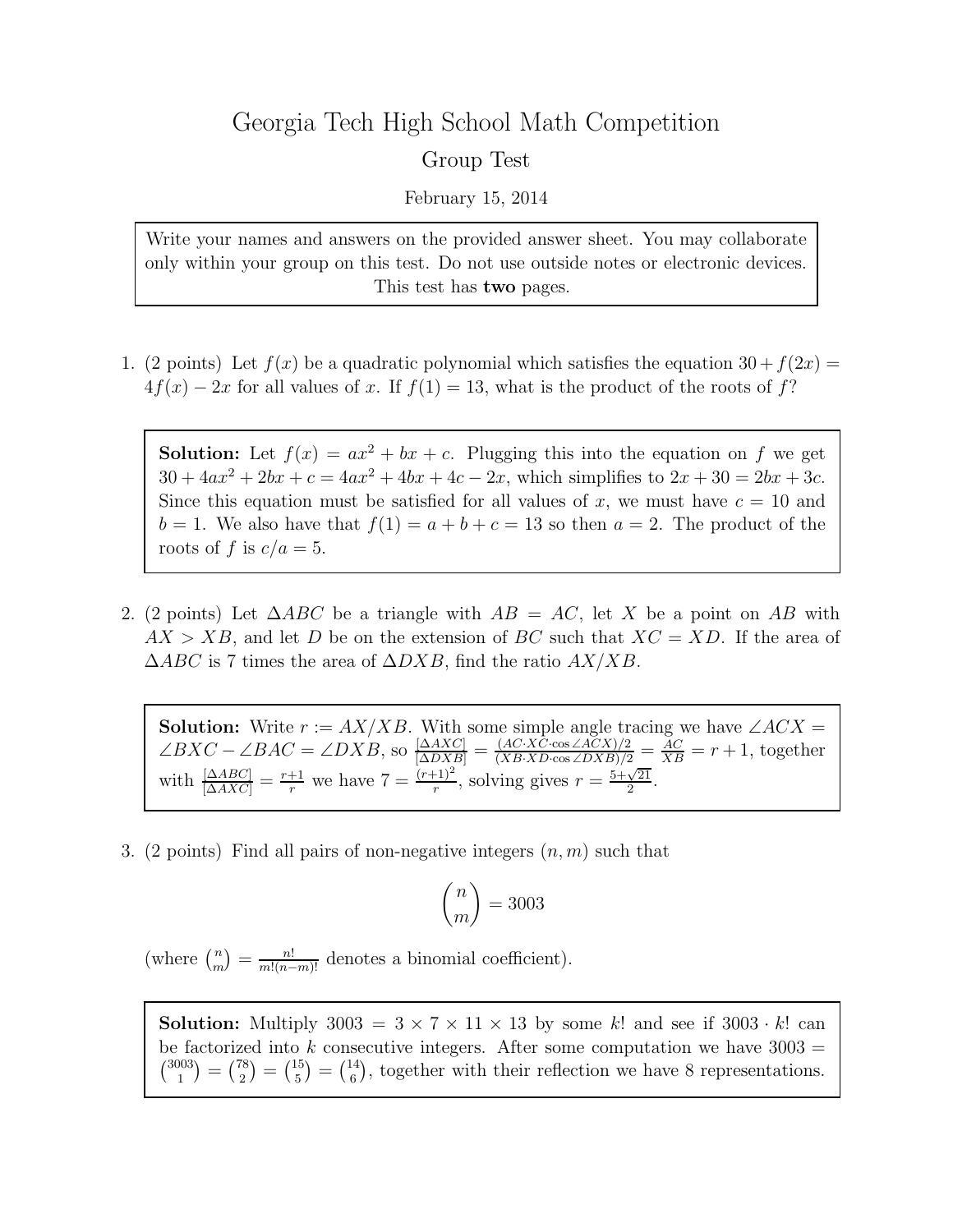## Georgia Tech High School Math Competition Group Test

February 15, 2014

Write your names and answers on the provided answer sheet. You may collaborate only within your group on this test. Do not use outside notes or electronic devices. This test has two pages.

1. (2 points) Let  $f(x)$  be a quadratic polynomial which satisfies the equation  $30 + f(2x) =$  $4f(x) - 2x$  for all values of x. If  $f(1) = 13$ , what is the product of the roots of f?

**Solution:** Let  $f(x) = ax^2 + bx + c$ . Plugging this into the equation on f we get  $30 + 4ax^2 + 2bx + c = 4ax^2 + 4bx + 4c - 2x$ , which simplifies to  $2x + 30 = 2bx + 3c$ . Since this equation must be satisfied for all values of x, we must have  $c = 10$  and  $b = 1$ . We also have that  $f(1) = a + b + c = 13$  so then  $a = 2$ . The product of the roots of f is  $c/a = 5$ .

2. (2 points) Let  $\triangle ABC$  be a triangle with  $AB = AC$ , let X be a point on AB with  $AX > XB$ , and let D be on the extension of BC such that  $XC = XD$ . If the area of  $\triangle ABC$  is 7 times the area of  $\triangle DXB$ , find the ratio  $AX/XB$ .

**Solution:** Write  $r := AX/XB$ . With some simple angle tracing we have  $\angle ACX$  =  $\angle BXC - \angle BAC = \angle DXB$ , so  $\frac{[\Delta AXC]}{[\Delta DXB]} = \frac{(AC \cdot X\hat{C} \cdot \cos \angle ACX)}{(XB \cdot XD \cdot \cos \angle DXB)/2} = \frac{AC}{XB} = r + 1$ , together with  $\frac{[\Delta ABC]}{[\Delta AXC]} = \frac{r+1}{r}$  we have  $7 = \frac{(r+1)^2}{r}$ , solving gives  $r = \frac{5+\sqrt{21}}{2}$  $\frac{\sqrt{21}}{2}$ .

3. (2 points) Find all pairs of non-negative integers  $(n, m)$  such that

$$
\binom{n}{m} = 3003
$$

(where  $\binom{n}{m}$  $\binom{n}{m} = \frac{n!}{m!(n-m)!}$  denotes a binomial coefficient).

**Solution:** Multiply  $3003 = 3 \times 7 \times 11 \times 13$  by some k! and see if  $3003 \cdot k!$  can be factorized into k consecutive integers. After some computation we have  $3003 =$  $\int_{1}^{3003}$  $\binom{1003}{1} = \binom{78}{2}$  $\binom{78}{2} = \binom{15}{5}$  $\binom{15}{5} = \binom{14}{6}$  $\binom{4}{6}$ , together with their reflection we have 8 representations.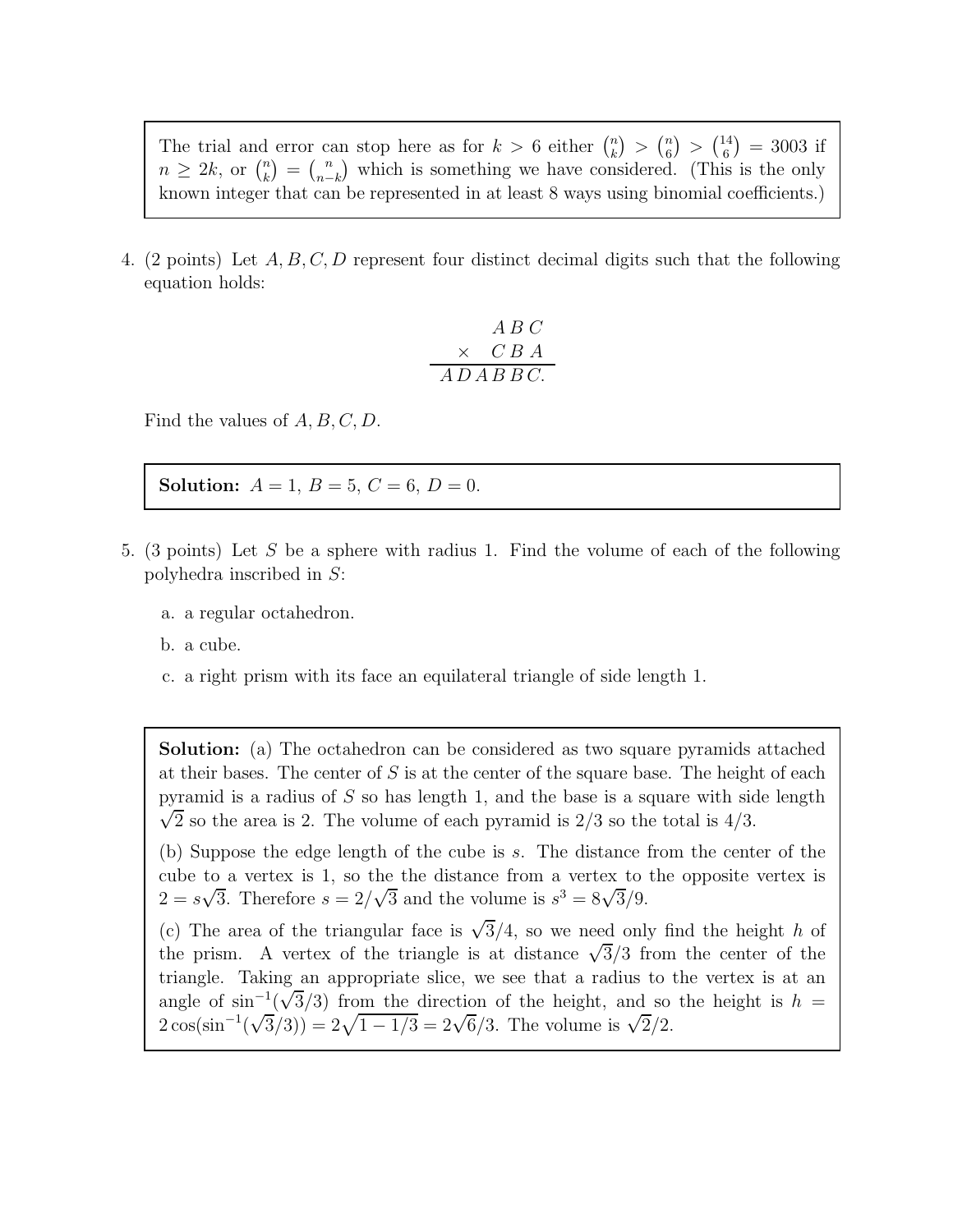The trial and error can stop here as for  $k > 6$  either  $\binom{n}{k}$  $\binom{n}{k} > \binom{n}{6}$  $\binom{n}{6} > \binom{14}{6}$  $\binom{4}{6}$  = 3003 if  $n \geq 2k$ , or  $\binom{n}{k}$  $\binom{n}{k} = \binom{n}{n-1}$  $n-k$  which is something we have considered. (This is the only known integer that can be represented in at least 8 ways using binomial coefficients.)

4. (2 points) Let  $A, B, C, D$  represent four distinct decimal digits such that the following equation holds:

$$
\begin{array}{c}\n ABC \\
\times \\
CBA \\
\hline\n ADABBC.\n\end{array}
$$

Find the values of  $A, B, C, D$ .

Solution:  $A = 1, B = 5, C = 6, D = 0.$ 

- 5. (3 points) Let S be a sphere with radius 1. Find the volume of each of the following polyhedra inscribed in S:
	- a. a regular octahedron.
	- b. a cube.
	- c. a right prism with its face an equilateral triangle of side length 1.

Solution: (a) The octahedron can be considered as two square pyramids attached at their bases. The center of  $S$  is at the center of the square base. The height of each pyramid is a radius of  $S$  so has length 1, and the base is a square with side length  $\sqrt{2}$  so the area is 2. The volume of each pyramid is 2/3 so the total is 4/3. (b) Suppose the edge length of the cube is s. The distance from the center of the cube to a vertex is 1, so the the distance from a vertex to the opposite vertex is  $2 = s\sqrt{3}$ . Therefore  $s = 2/\sqrt{3}$  and the volume is  $s^3 = 8\sqrt{3}/9$ . (c) The area of the triangular face is  $\sqrt{3}/4$ , so we need only find the height h of the prism. A vertex of the triangle is at distance  $\sqrt{3}/3$  from the center of the triangle. Taking an appropriate slice, we see that a radius to the vertex is at an angle of  $\sin^{-1}(\sqrt{3}/3)$  from the direction of the height, and so the height is  $h =$  $2\cos(\sin^{-1}(\sqrt{3}/3)) = 2\sqrt{1-1/3} = 2\sqrt{6}/3$ . The volume is  $\sqrt{2}/2$ .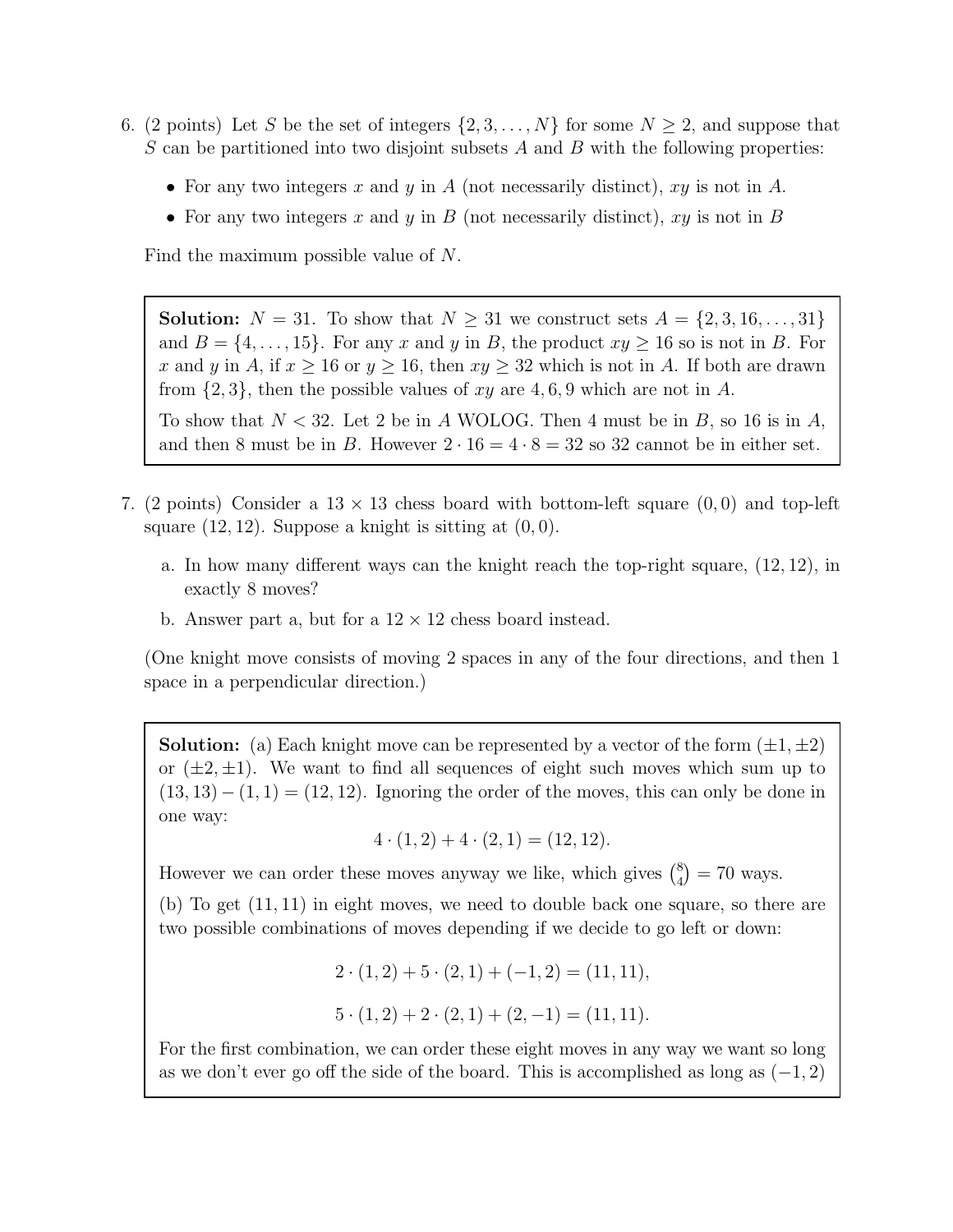- 6. (2 points) Let S be the set of integers  $\{2, 3, ..., N\}$  for some  $N \geq 2$ , and suppose that S can be partitioned into two disjoint subsets A and B with the following properties:
	- For any two integers x and y in A (not necessarily distinct),  $xy$  is not in A.
	- For any two integers x and y in B (not necessarily distinct), xy is not in B

Find the maximum possible value of N.

**Solution:**  $N = 31$ . To show that  $N \geq 31$  we construct sets  $A = \{2, 3, 16, \ldots, 31\}$ and  $B = \{4, \ldots, 15\}$ . For any x and y in B, the product  $xy \ge 16$  so is not in B. For x and y in A, if  $x \ge 16$  or  $y \ge 16$ , then  $xy \ge 32$  which is not in A. If both are drawn from  $\{2,3\}$ , then the possible values of xy are 4, 6, 9 which are not in A.

To show that  $N < 32$ . Let 2 be in A WOLOG. Then 4 must be in B, so 16 is in A, and then 8 must be in B. However  $2 \cdot 16 = 4 \cdot 8 = 32$  so 32 cannot be in either set.

- 7. (2 points) Consider a  $13 \times 13$  chess board with bottom-left square  $(0,0)$  and top-left square  $(12, 12)$ . Suppose a knight is sitting at  $(0, 0)$ .
	- a. In how many different ways can the knight reach the top-right square, (12, 12), in exactly 8 moves?
	- b. Answer part a, but for a  $12 \times 12$  chess board instead.

(One knight move consists of moving 2 spaces in any of the four directions, and then 1 space in a perpendicular direction.)

**Solution:** (a) Each knight move can be represented by a vector of the form  $(\pm 1, \pm 2)$ or  $(\pm 2, \pm 1)$ . We want to find all sequences of eight such moves which sum up to  $(13, 13) - (1, 1) = (12, 12)$ . Ignoring the order of the moves, this can only be done in one way:

 $4 \cdot (1, 2) + 4 \cdot (2, 1) = (12, 12).$ 

However we can order these moves anyway we like, which gives  $\binom{8}{4}$  $_{4}^{8}$ ) = 70 ways.

 $(b)$  To get  $(11, 11)$  in eight moves, we need to double back one square, so there are two possible combinations of moves depending if we decide to go left or down:

 $2 \cdot (1, 2) + 5 \cdot (2, 1) + (-1, 2) = (11, 11),$ 

$$
5 \cdot (1,2) + 2 \cdot (2,1) + (2,-1) = (11,11).
$$

For the first combination, we can order these eight moves in any way we want so long as we don't ever go off the side of the board. This is accomplished as long as  $(-1, 2)$